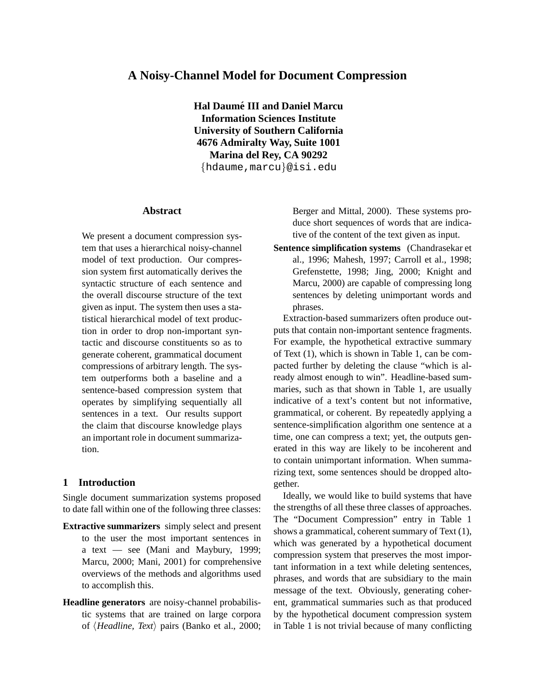# **A Noisy-Channel Model for Document Compression**

**Hal Daume´ III and Daniel Marcu Information Sciences Institute University of Southern California 4676 Admiralty Way, Suite 1001 Marina del Rey, CA 90292**  $\{$ hdaume,marcu $\}$ @isi.edu

## **Abstract**

We present a document compression system that uses a hierarchical noisy-channel model of text production. Our compression system first automatically derives the syntactic structure of each sentence and the overall discourse structure of the text given as input. The system then uses a statistical hierarchical model of text production in order to drop non-important syntactic and discourse constituents so as to generate coherent, grammatical document compressions of arbitrary length. The system outperforms both a baseline and a sentence-based compression system that operates by simplifying sequentially all sentences in a text. Our results support the claim that discourse knowledge plays an important role in document summarization.

# **1 Introduction**

Single document summarization systems proposed to date fall within one of the following three classes:

- **Extractive summarizers** simply select and present to the user the most important sentences in a text — see (Mani and Maybury, 1999; Marcu, 2000; Mani, 2001) for comprehensive overviews of the methods and algorithms used to accomplish this.
- **Headline generators** are noisy-channel probabilistic systems that are trained on large corpora of *(Headline, Text)* pairs (Banko et al., 2000;

Berger and Mittal, 2000). These systems produce short sequences of words that are indicative of the content of the text given as input.

**Sentence simplification systems** (Chandrasekar et al., 1996; Mahesh, 1997; Carroll et al., 1998; Grefenstette, 1998; Jing, 2000; Knight and Marcu, 2000) are capable of compressing long sentences by deleting unimportant words and phrases.

Extraction-based summarizers often produce outputs that contain non-important sentence fragments. For example, the hypothetical extractive summary of Text (1), which is shown in Table 1, can be compacted further by deleting the clause "which is already almost enough to win". Headline-based summaries, such as that shown in Table 1, are usually indicative of a text's content but not informative, grammatical, or coherent. By repeatedly applying a sentence-simplification algorithm one sentence at a time, one can compress a text; yet, the outputs generated in this way are likely to be incoherent and to contain unimportant information. When summarizing text, some sentences should be dropped altogether.

Ideally, we would like to build systems that have the strengths of all these three classes of approaches. The "Document Compression" entry in Table 1 shows a grammatical, coherent summary of Text (1), which was generated by a hypothetical document compression system that preserves the most important information in a text while deleting sentences, phrases, and words that are subsidiary to the main message of the text. Obviously, generating coherent, grammatical summaries such as that produced by the hypothetical document compression system in Table 1 is not trivial because of many conflicting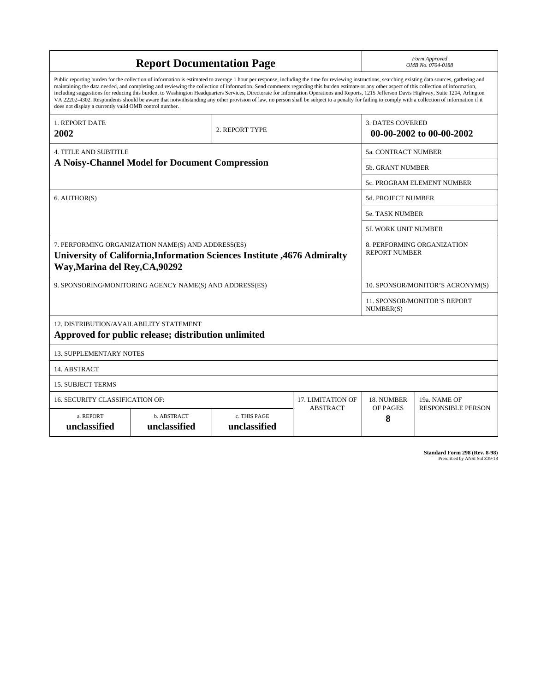| <b>Report Documentation Page</b>                                                                                                                                                                                                                                                                                                                                                                                                                                                                                                                                                                                                                                                                                                                                                                                                                                   |                             |                              |                           |                                                     | Form Approved<br>OMB No. 0704-0188 |  |  |
|--------------------------------------------------------------------------------------------------------------------------------------------------------------------------------------------------------------------------------------------------------------------------------------------------------------------------------------------------------------------------------------------------------------------------------------------------------------------------------------------------------------------------------------------------------------------------------------------------------------------------------------------------------------------------------------------------------------------------------------------------------------------------------------------------------------------------------------------------------------------|-----------------------------|------------------------------|---------------------------|-----------------------------------------------------|------------------------------------|--|--|
| Public reporting burden for the collection of information is estimated to average 1 hour per response, including the time for reviewing instructions, searching existing data sources, gathering and<br>maintaining the data needed, and completing and reviewing the collection of information. Send comments regarding this burden estimate or any other aspect of this collection of information,<br>including suggestions for reducing this burden, to Washington Headquarters Services, Directorate for Information Operations and Reports, 1215 Jefferson Davis Highway, Suite 1204, Arlington<br>VA 22202-4302. Respondents should be aware that notwithstanding any other provision of law, no person shall be subject to a penalty for failing to comply with a collection of information if it<br>does not display a currently valid OMB control number. |                             |                              |                           |                                                     |                                    |  |  |
| <b>1. REPORT DATE</b><br>2002                                                                                                                                                                                                                                                                                                                                                                                                                                                                                                                                                                                                                                                                                                                                                                                                                                      |                             | 2. REPORT TYPE               |                           | <b>3. DATES COVERED</b><br>00-00-2002 to 00-00-2002 |                                    |  |  |
| <b>4. TITLE AND SUBTITLE</b>                                                                                                                                                                                                                                                                                                                                                                                                                                                                                                                                                                                                                                                                                                                                                                                                                                       |                             |                              |                           |                                                     | 5a. CONTRACT NUMBER                |  |  |
| A Noisy-Channel Model for Document Compression                                                                                                                                                                                                                                                                                                                                                                                                                                                                                                                                                                                                                                                                                                                                                                                                                     |                             |                              |                           | <b>5b. GRANT NUMBER</b>                             |                                    |  |  |
|                                                                                                                                                                                                                                                                                                                                                                                                                                                                                                                                                                                                                                                                                                                                                                                                                                                                    |                             |                              |                           |                                                     | 5c. PROGRAM ELEMENT NUMBER         |  |  |
| 6. AUTHOR(S)                                                                                                                                                                                                                                                                                                                                                                                                                                                                                                                                                                                                                                                                                                                                                                                                                                                       |                             |                              | <b>5d. PROJECT NUMBER</b> |                                                     |                                    |  |  |
|                                                                                                                                                                                                                                                                                                                                                                                                                                                                                                                                                                                                                                                                                                                                                                                                                                                                    |                             |                              |                           |                                                     | <b>5e. TASK NUMBER</b>             |  |  |
|                                                                                                                                                                                                                                                                                                                                                                                                                                                                                                                                                                                                                                                                                                                                                                                                                                                                    |                             |                              |                           |                                                     | <b>5f. WORK UNIT NUMBER</b>        |  |  |
| 7. PERFORMING ORGANIZATION NAME(S) AND ADDRESS(ES)<br>8. PERFORMING ORGANIZATION<br><b>REPORT NUMBER</b><br>University of California, Information Sciences Institute , 4676 Admiralty<br>Way, Marina del Rey, CA, 90292                                                                                                                                                                                                                                                                                                                                                                                                                                                                                                                                                                                                                                            |                             |                              |                           |                                                     |                                    |  |  |
| 9. SPONSORING/MONITORING AGENCY NAME(S) AND ADDRESS(ES)                                                                                                                                                                                                                                                                                                                                                                                                                                                                                                                                                                                                                                                                                                                                                                                                            |                             |                              |                           | 10. SPONSOR/MONITOR'S ACRONYM(S)                    |                                    |  |  |
|                                                                                                                                                                                                                                                                                                                                                                                                                                                                                                                                                                                                                                                                                                                                                                                                                                                                    |                             |                              |                           | <b>11. SPONSOR/MONITOR'S REPORT</b><br>NUMBER(S)    |                                    |  |  |
| 12. DISTRIBUTION/AVAILABILITY STATEMENT<br>Approved for public release; distribution unlimited                                                                                                                                                                                                                                                                                                                                                                                                                                                                                                                                                                                                                                                                                                                                                                     |                             |                              |                           |                                                     |                                    |  |  |
| <b>13. SUPPLEMENTARY NOTES</b>                                                                                                                                                                                                                                                                                                                                                                                                                                                                                                                                                                                                                                                                                                                                                                                                                                     |                             |                              |                           |                                                     |                                    |  |  |
| 14. ABSTRACT                                                                                                                                                                                                                                                                                                                                                                                                                                                                                                                                                                                                                                                                                                                                                                                                                                                       |                             |                              |                           |                                                     |                                    |  |  |
| <b>15. SUBJECT TERMS</b>                                                                                                                                                                                                                                                                                                                                                                                                                                                                                                                                                                                                                                                                                                                                                                                                                                           |                             |                              |                           |                                                     |                                    |  |  |
| 16. SECURITY CLASSIFICATION OF:<br><b>17. LIMITATION OF</b>                                                                                                                                                                                                                                                                                                                                                                                                                                                                                                                                                                                                                                                                                                                                                                                                        |                             |                              |                           | 18. NUMBER                                          | 19a. NAME OF                       |  |  |
| a. REPORT<br>unclassified                                                                                                                                                                                                                                                                                                                                                                                                                                                                                                                                                                                                                                                                                                                                                                                                                                          | b. ABSTRACT<br>unclassified | c. THIS PAGE<br>unclassified | <b>ABSTRACT</b>           | OF PAGES<br>8                                       | <b>RESPONSIBLE PERSON</b>          |  |  |

**Standard Form 298 (Rev. 8-98)**<br>Prescribed by ANSI Std Z39-18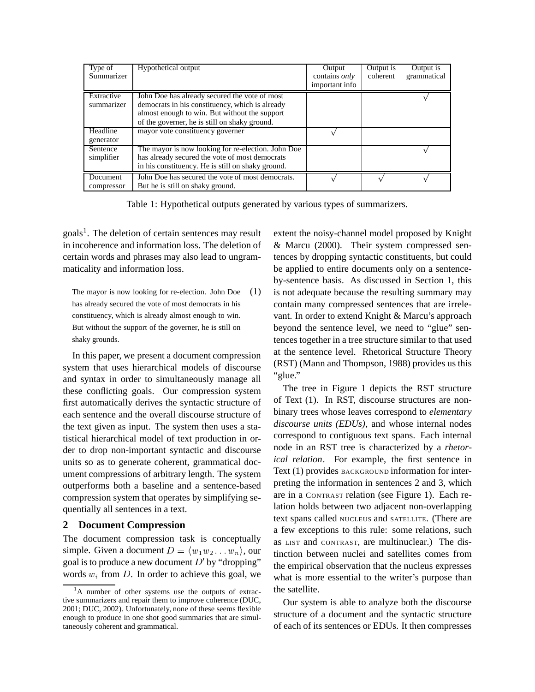| Type of    | Hypothetical output                                | Output               | Output is | Output is   |
|------------|----------------------------------------------------|----------------------|-----------|-------------|
| Summarizer |                                                    | contains <i>only</i> | coherent  | grammatical |
|            |                                                    | important info       |           |             |
| Extractive | John Doe has already secured the vote of most      |                      |           |             |
| summarizer | democrats in his constituency, which is already    |                      |           |             |
|            | almost enough to win. But without the support      |                      |           |             |
|            | of the governer, he is still on shaky ground.      |                      |           |             |
| Headline   | mayor vote constituency governer                   |                      |           |             |
| generator  |                                                    |                      |           |             |
| Sentence   | The mayor is now looking for re-election. John Doe |                      |           |             |
| simplifier | has already secured the vote of most democrats     |                      |           |             |
|            | in his constituency. He is still on shaky ground.  |                      |           |             |
| Document   | John Doe has secured the vote of most democrats.   |                      |           |             |
| compressor | But he is still on shaky ground.                   |                      |           |             |

Table 1: Hypothetical outputs generated by various types of summarizers.

goals<sup>1</sup>. The deletion of certain sentences may result in incoherence and information loss. The deletion of certain words and phrases may also lead to ungrammaticality and information loss.

The mayor is now looking for re-election. John Doe has already secured the vote of most democrats in his constituency, which is already almost enough to win. But without the support of the governer, he is still on shaky grounds. (1)

In this paper, we present a document compression system that uses hierarchical models of discourse and syntax in order to simultaneously manage all these conflicting goals. Our compression system first automatically derives the syntactic structure of each sentence and the overall discourse structure of the text given as input. The system then uses a statistical hierarchical model of text production in order to drop non-important syntactic and discourse units so as to generate coherent, grammatical document compressions of arbitrary length. The system outperforms both a baseline and a sentence-based compression system that operates by simplifying sequentially all sentences in a text.

# **2 Document Compression**

The document compression task is conceptually simple. Given a document  $D = \langle w_1 w_2 ... w_n \rangle$ , our goal is to produce a new document  $D'$  by "dropping" words  $w_i$  from  $D$ . In order to achieve this goal, we

extent the noisy-channel model proposed by Knight & Marcu (2000). Their system compressed sentences by dropping syntactic constituents, but could be applied to entire documents only on a sentenceby-sentence basis. As discussed in Section 1, this is not adequate because the resulting summary may contain many compressed sentences that are irrelevant. In order to extend Knight & Marcu's approach beyond the sentence level, we need to "glue" sentences together in a tree structure similar to that used at the sentence level. Rhetorical Structure Theory (RST) (Mann and Thompson, 1988) provides us this "glue."

The tree in Figure 1 depicts the RST structure of Text (1). In RST, discourse structures are nonbinary trees whose leaves correspond to *elementary discourse units (EDUs)*, and whose internal nodes correspond to contiguous text spans. Each internal node in an RST tree is characterized by a *rhetorical relation*. For example, the first sentence in Text (1) provides BACKGROUND information for interpreting the information in sentences 2 and 3, which are in a CONTRAST relation (see Figure 1). Each relation holds between two adjacent non-overlapping text spans called NUCLEUS and SATELLITE. (There are a few exceptions to this rule: some relations, such as LIST and CONTRAST, are multinuclear.) The distinction between nuclei and satellites comes from the empirical observation that the nucleus expresses what is more essential to the writer's purpose than the satellite.

Our system is able to analyze both the discourse structure of a document and the syntactic structure of each of its sentences or EDUs. It then compresses

<sup>&</sup>lt;sup>1</sup>A number of other systems use the outputs of extractive summarizers and repair them to improve coherence (DUC, 2001; DUC, 2002). Unfortunately, none of these seems flexible enough to produce in one shot good summaries that are simultaneously coherent and grammatical.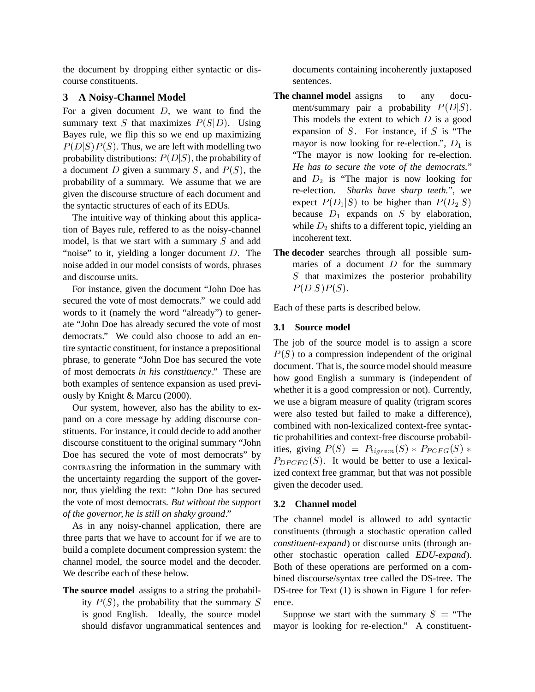the document by dropping either syntactic or discourse constituents.

#### **3 A Noisy-Channel Model**

For a given document  $D$ , we want to find the summary text  $S$  that maximizes  $P(S|D)$ . Using Bayes rule, we flip this so we end up maximizing  $P(D|S)P(S)$ . Thus, we are left with modelling two probability distributions:  $P(D|S)$ , the probability of a document  $D$  given a summary  $S$ , and  $P(S)$ , the probability of a summary. We assume that we are given the discourse structure of each document and the syntactic structures of each of its EDUs.

The intuitive way of thinking about this application of Bayes rule, reffered to as the noisy-channel model, is that we start with a summary  $S$  and add "noise" to it, yielding a longer document  $D$ . The noise added in our model consists of words, phrases and discourse units.

For instance, given the document "John Doe has secured the vote of most democrats." we could add words to it (namely the word "already") to generate "John Doe has already secured the vote of most democrats." We could also choose to add an entire syntactic constituent, for instance a prepositional phrase, to generate "John Doe has secured the vote of most democrats *in his constituency*." These are both examples of sentence expansion as used previously by Knight & Marcu (2000).

Our system, however, also has the ability to expand on a core message by adding discourse constituents. For instance, it could decide to add another discourse constituent to the original summary "John Doe has secured the vote of most democrats" by CONTRASTing the information in the summary with the uncertainty regarding the support of the governor, thus yielding the text: "John Doe has secured the vote of most democrats. *But without the support of the governor, he is still on shaky ground*."

As in any noisy-channel application, there are three parts that we have to account for if we are to build a complete document compression system: the channel model, the source model and the decoder. We describe each of these below.

**The source model** assigns to a string the probability  $P(S)$ , the probability that the summary S is good English. Ideally, the source model should disfavor ungrammatical sentences and documents containing incoherently juxtaposed sentences.

- **The channel model** assigns to any document/summary pair a probability  $P(D|S)$ . This models the extent to which  $D$  is a good expansion of  $S$ . For instance, if  $S$  is "The mayor is now looking for re-election.",  $D_1$  is "The mayor is now looking for re-election. *He has to secure the vote of the democrats.*" and  $D_2$  is "The major is now looking for re-election. *Sharks have sharp teeth.*", we expect  $P(D_1|S)$  to be higher than  $P(D_2|S)$ because  $D_1$  expands on  $S$  by elaboration, while  $D_2$  shifts to a different topic, yielding an incoherent text.
- **The decoder** searches through all possible summaries of a document  $D$  for the summary  $S$  that maximizes the posterior probability  $P(D|S)P(S)$ .

Each of these parts is described below.

#### **3.1 Source model**

The job of the source model is to assign a score  $P(S)$  to a compression independent of the original document. That is, the source model should measure how good English a summary is (independent of whether it is a good compression or not). Currently, we use a bigram measure of quality (trigram scores were also tested but failed to make a difference), combined with non-lexicalized context-free syntactic probabilities and context-free discourse probabilities, giving  $P(S) = P_{bigarm}(S) * P_{PCFG}(S) *$  $P_{DPCFG}(S)$ . It would be better to use a lexicalized context free grammar, but that was not possible given the decoder used.

## **3.2 Channel model**

The channel model is allowed to add syntactic constituents (through a stochastic operation called *constituent-expand*) or discourse units (through another stochastic operation called *EDU-expand*). Both of these operations are performed on a combined discourse/syntax tree called the DS-tree. The DS-tree for Text (1) is shown in Figure 1 for reference.

Suppose we start with the summary  $S =$  "The mayor is looking for re-election." A constituent-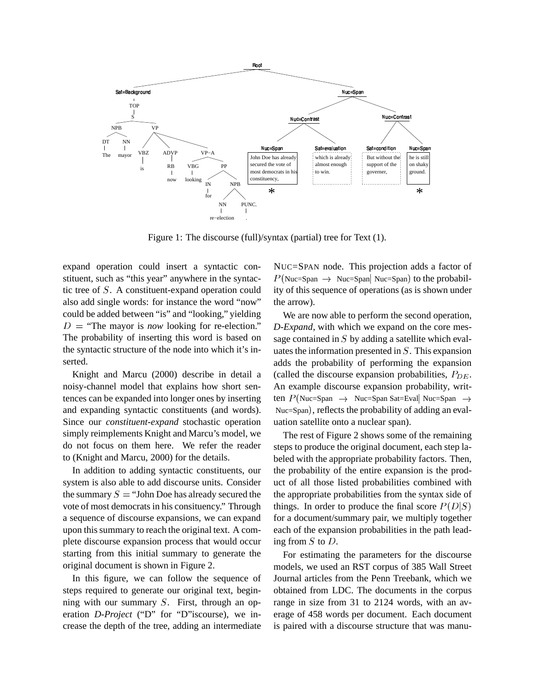

Figure 1: The discourse (full)/syntax (partial) tree for Text (1).

expand operation could insert a syntactic constituent, such as "this year" anywhere in the syntactic tree of  $S$ . A constituent-expand operation could also add single words: for instance the word "now" could be added between "is" and "looking," yielding  $D =$  "The mayor is *now* looking for re-election." The probability of inserting this word is based on the syntactic structure of the node into which it's inserted.

Knight and Marcu (2000) describe in detail a noisy-channel model that explains how short sentences can be expanded into longer ones by inserting and expanding syntactic constituents (and words). Since our *constituent-expand* stochastic operation simply reimplements Knight and Marcu's model, we do not focus on them here. We refer the reader to (Knight and Marcu, 2000) for the details.

In addition to adding syntactic constituents, our system is also able to add discourse units. Consider the summary  $S =$  "John Doe has already secured the vote of most democrats in his consituency." Through a sequence of discourse expansions, we can expand upon thissummary to reach the original text. A complete discourse expansion process that would occur starting from this initial summary to generate the original document is shown in Figure 2.

In this figure, we can follow the sequence of steps required to generate our original text, beginning with our summary  $S$ . First, through an operation *D-Project* ("D" for "D"iscourse), we increase the depth of the tree, adding an intermediate NUC=SPAN node. This projection adds a factor of  $P(\text{Nuc}=Span \rightarrow \text{Nuc}=Span \mid \text{Nuc}=Span)$  to the probability of this sequence of operations (as is shown under the arrow).

We are now able to perform the second operation, *D-Expand*, with which we expand on the core message contained in  $S$  by adding a satellite which evaluates the information presented in  $S$ . This expansion adds the probability of performing the expansion (called the discourse expansion probabilities,  $P_{DE}$ . An example discourse expansion probability, written  $P(Nuc=Span \rightarrow Nuc=Span$  Sat=Eval Nuc=Span  $\rightarrow$ Nuc=Span), reflects the probability of adding an evaluation satellite onto a nuclear span).

The rest of Figure 2 shows some of the remaining steps to produce the original document, each step labeled with the appropriate probability factors. Then, the probability of the entire expansion is the product of all those listed probabilities combined with the appropriate probabilities from the syntax side of things. In order to produce the final score  $P(D|S)$ for a document/summary pair, we multiply together each of the expansion probabilities in the path leading from  $S$  to  $D$ .

For estimating the parameters for the discourse models, we used an RST corpus of 385 Wall Street Journal articles from the Penn Treebank, which we obtained from LDC. The documents in the corpus range in size from 31 to 2124 words, with an average of 458 words per document. Each document is paired with a discourse structure that was manu-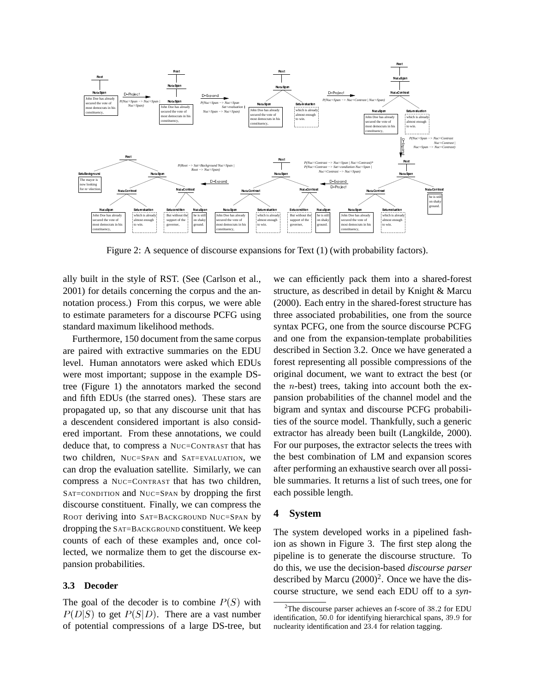

Figure 2: A sequence of discourse expansions for Text (1) (with probability factors).

ally built in the style of RST. (See (Carlson et al., 2001) for details concerning the corpus and the annotation process.) From this corpus, we were able to estimate parameters for a discourse PCFG using standard maximum likelihood methods.

Furthermore, 150 document from the same corpus are paired with extractive summaries on the EDU level. Human annotators were asked which EDUs were most important; suppose in the example DStree (Figure 1) the annotators marked the second and fifth EDUs (the starred ones). These stars are propagated up, so that any discourse unit that has a descendent considered important is also considered important. From these annotations, we could deduce that, to compress a NUC=CONTRAST that has two children, NUC=SPAN and SAT=EVALUATION, we can drop the evaluation satellite. Similarly, we can compress a NUC=CONTRAST that has two children, SAT=CONDITION and NUC=SPAN by dropping the first discourse constituent. Finally, we can compress the ROOT deriving into SAT=BACKGROUND NUC=SPAN by dropping the SAT=BACKGROUND constituent. We keep counts of each of these examples and, once collected, we normalize them to get the discourse expansion probabilities.

### **3.3 Decoder**

The goal of the decoder is to combine  $P(S)$  with  $P(D|S)$  to get  $P(S|D)$ . There are a vast number of potential compressions of a large DS-tree, but we can efficiently pack them into a shared-forest structure, as described in detail by Knight & Marcu (2000). Each entry in the shared-forest structure has three associated probabilities, one from the source syntax PCFG, one from the source discourse PCFG and one from the expansion-template probabilities described in Section 3.2. Once we have generated a forest representing all possible compressions of the original document, we want to extract the best (or the  $n$ -best) trees, taking into account both the expansion probabilities of the channel model and the bigram and syntax and discourse PCFG probabilities of the source model. Thankfully, such a generic extractor has already been built (Langkilde, 2000). For our purposes, the extractor selects the trees with the best combination of LM and expansion scores after performing an exhaustive search over all possible summaries. It returns a list of such trees, one for each possible length.

### **4 System**

The system developed works in a pipelined fashion as shown in Figure 3. The first step along the pipeline is to generate the discourse structure. To do this, we use the decision-based *discourse parser* described by Marcu  $(2000)^2$ . Once we have the discourse structure, we send each EDU off to a *syn-*

 $2$ The discourse parser achieves an f-score of 38.2 for EDU identification, 50.0 for identifying hierarchical spans, 39.9 for nuclearity identification and 23.4 for relation tagging.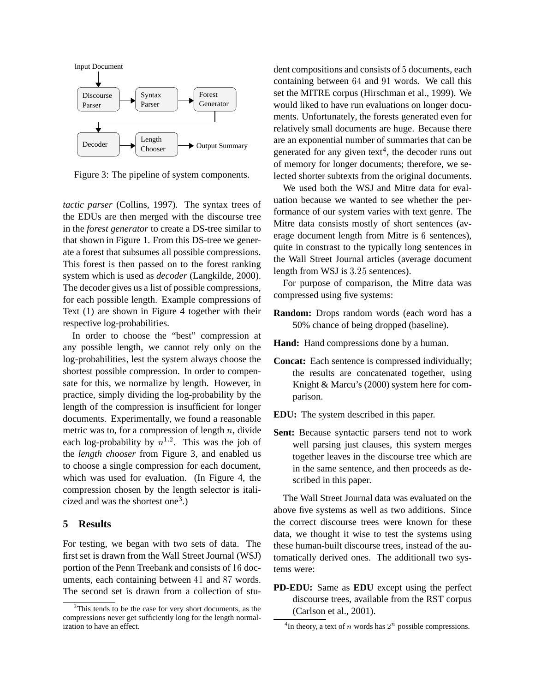

Figure 3: The pipeline of system components.

*tactic parser* (Collins, 1997). The syntax trees of the EDUs are then merged with the discourse tree in the *forest generator* to create a DS-tree similar to that shown in Figure 1. From this DS-tree we generate a forest that subsumes all possible compressions. This forest is then passed on to the forest ranking system which is used as *decoder* (Langkilde, 2000). The decoder gives us a list of possible compressions, for each possible length. Example compressions of Text (1) are shown in Figure 4 together with their respective log-probabilities.

In order to choose the "best" compression at any possible length, we cannot rely only on the log-probabilities, lest the system always choose the shortest possible compression. In order to compensate for this, we normalize by length. However, in practice, simply dividing the log-probability by the length of the compression is insufficient for longer documents. Experimentally, we found a reasonable metric was to, for a compression of length  $n$ , divide each log-probability by  $n^{1.2}$ . This was the job of the *length chooser* from Figure 3, and enabled us to choose a single compression for each document, which was used for evaluation. (In Figure 4, the compression chosen by the length selector is italicized and was the shortest one<sup>3</sup>.)

## **5 Results**

For testing, we began with two sets of data. The first set is drawn from the Wall Street Journal (WSJ) portion of the Penn Treebank and consists of 16 documents, each containing between  $41$  and  $87$  words. The second set is drawn from a collection of student compositions and consists of 5 documents, each containing between 64 and 91 words. We call this set the MITRE corpus (Hirschman et al., 1999). We would liked to have run evaluations on longer documents. Unfortunately, the forests generated even for relatively small documents are huge. Because there are an exponential number of summaries that can be generated for any given text<sup>4</sup>, the decoder runs out of memory for longer documents; therefore, we selected shorter subtexts from the original documents.

We used both the WSJ and Mitre data for evaluation because we wanted to see whether the performance of our system varies with text genre. The Mitre data consists mostly of short sentences (average document length from Mitre is 6 sentences), quite in constrast to the typically long sentences in the Wall Street Journal articles (average document length from WSJ is  $3.25$  sentences).

For purpose of comparison, the Mitre data was compressed using five systems:

- **Random:** Drops random words (each word has a 50% chance of being dropped (baseline).
- **Hand:** Hand compressions done by a human.
- **Concat:** Each sentence is compressed individually; the results are concatenated together, using Knight & Marcu's (2000) system here for comparison.
- **EDU:** The system described in this paper.
- **Sent:** Because syntactic parsers tend not to work well parsing just clauses, this system merges together leaves in the discourse tree which are in the same sentence, and then proceeds as described in this paper.

The Wall Street Journal data was evaluated on the above five systems as well as two additions. Since the correct discourse trees were known for these data, we thought it wise to test the systems using these human-built discourse trees, instead of the automatically derived ones. The additionall two systems were:

**PD-EDU:** Same as **EDU** except using the perfect discourse trees, available from the RST corpus (Carlson et al., 2001).

 $3$ This tends to be the case for very short documents, as the compressions never get sufficiently long for the length normalization to have an effect.

<sup>&</sup>lt;sup>4</sup>In theory, a text of  $n$  words has  $2<sup>n</sup>$  possible compressions.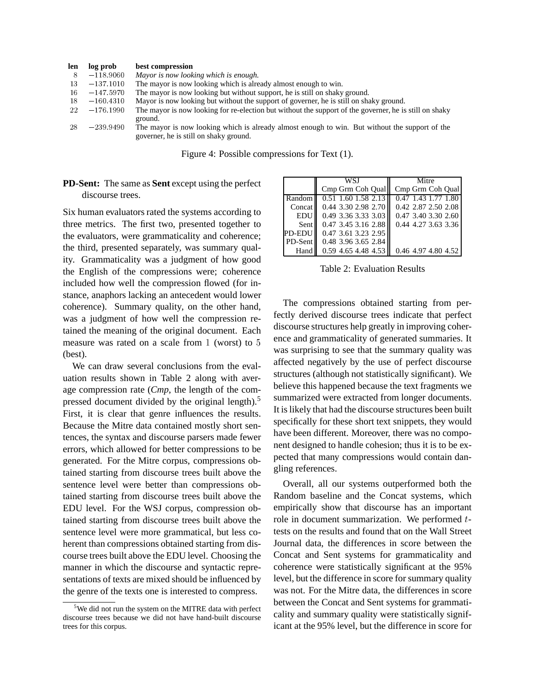| len | log prob    | best compression                                                                                                                         |
|-----|-------------|------------------------------------------------------------------------------------------------------------------------------------------|
| -8  | $-118.9060$ | Mayor is now looking which is enough.                                                                                                    |
| 13. | $-137.1010$ | The mayor is now looking which is already almost enough to win.                                                                          |
| 16. | $-147.5970$ | The mayor is now looking but without support, he is still on shaky ground.                                                               |
| 18  | $-160.4310$ | Mayor is now looking but without the support of governer, he is still on shaky ground.                                                   |
| 22  | $-176.1990$ | The mayor is now looking for re-election but without the support of the governer, he is still on shaky<br>ground.                        |
| -28 | $-239.9490$ | The mayor is now looking which is already almost enough to win. But without the support of the<br>governer, he is still on shaky ground. |

Figure 4: Possible compressions for Text (1).

# **PD-Sent:** The same as **Sent** except using the perfect discourse trees.

Six human evaluators rated the systems according to three metrics. The first two, presented together to the evaluators, were grammaticality and coherence; the third, presented separately, was summary quality. Grammaticality was a judgment of how good the English of the compressions were; coherence included how well the compression flowed (for instance, anaphors lacking an antecedent would lower coherence). Summary quality, on the other hand, was a judgment of how well the compression retained the meaning of the original document. Each measure was rated on a scale from  $1$  (worst) to  $5$ (best).

We can draw several conclusions from the evaluation results shown in Table 2 along with average compression rate (*Cmp*, the length of the compressed document divided by the original length).<sup>5</sup> First, it is clear that genre influences the results. Because the Mitre data contained mostly short sentences, the syntax and discourse parsers made fewer errors, which allowed for better compressions to be generated. For the Mitre corpus, compressions obtained starting from discourse trees built above the sentence level were better than compressions obtained starting from discourse trees built above the EDU level. For the WSJ corpus, compression obtained starting from discourse trees built above the sentence level were more grammatical, but less coherent than compressions obtained starting from discourse trees built above the EDU level. Choosing the manner in which the discourse and syntactic representations of texts are mixed should be influenced by the genre of the texts one is interested to compress.

|            | WSJ                 | Mitre                            |  |  |
|------------|---------------------|----------------------------------|--|--|
|            | Cmp Grm Coh Qual    | Cmp Grm Coh Qual                 |  |  |
| Random     | 0.51 1.60 1.58 2.13 | $\overline{0.47}$ 1.43 1.77 1.80 |  |  |
| Concat     | 0.44 3.30 2.98 2.70 | 0.42 2.87 2.50 2.08              |  |  |
| <b>EDU</b> | 0.49 3.36 3.33 3.03 | 0.47 3.40 3.30 2.60              |  |  |
| Sent       | 0.47 3.45 3.16 2.88 | 0.44 4.27 3.63 3.36              |  |  |
| PD-EDU     | 0.47 3.61 3.23 2.95 |                                  |  |  |
| PD-Sent    | 0.48 3.96 3.65 2.84 |                                  |  |  |
| Hand       | 0.59 4.65 4.48 4.53 | 0.46 4.97 4.80 4.52              |  |  |

Table 2: Evaluation Results

The compressions obtained starting from perfectly derived discourse trees indicate that perfect discourse structures help greatly in improving coherence and grammaticality of generated summaries. It was surprising to see that the summary quality was affected negatively by the use of perfect discourse structures (although not statistically significant). We believe this happened because the text fragments we summarized were extracted from longer documents. It is likely that had the discourse structures been built specifically for these short text snippets, they would have been different. Moreover, there was no component designed to handle cohesion; thus it is to be expected that many compressions would contain dangling references.

Overall, all our systems outperformed both the Random baseline and the Concat systems, which empirically show that discourse has an important role in document summarization. We performed  $t$ tests on the results and found that on the Wall Street Journal data, the differences in score between the Concat and Sent systems for grammaticality and coherence were statistically significant at the 95% level, but the difference in score for summary quality was not. For the Mitre data, the differences in score between the Concat and Sent systems for grammaticality and summary quality were statistically significant at the 95% level, but the difference in score for

 $5$ We did not run the system on the MITRE data with perfect discourse trees because we did not have hand-built discourse trees for this corpus.